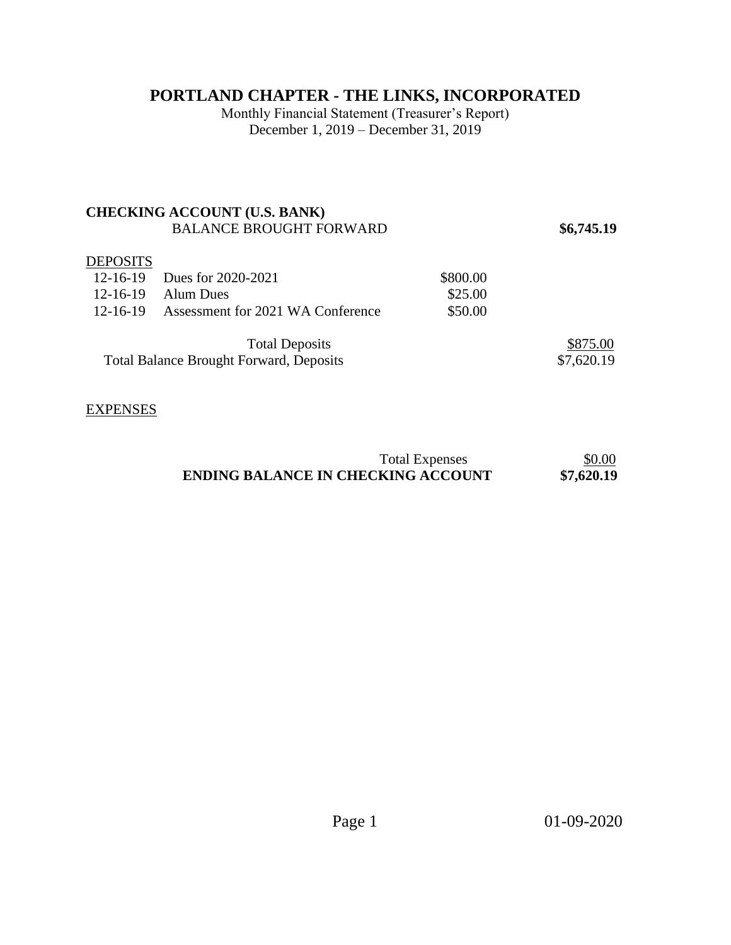# **PORTLAND CHAPTER - THE LINKS, INCORPORATED**

Monthly Financial Statement (Treasurer's Report) December 1, 2019 – December 31, 2019

### **CHECKING ACCOUNT (U.S. BANK)**  BALANCE BROUGHT FORWARD **\$6,745.19**

#### **DEPOSITS**

|                                                | 12-16-19 Dues for 2020-2021                | \$800.00 |            |
|------------------------------------------------|--------------------------------------------|----------|------------|
|                                                | $12-16-19$ Alum Dues                       | \$25.00  |            |
|                                                | 12-16-19 Assessment for 2021 WA Conference | \$50.00  |            |
|                                                |                                            |          |            |
|                                                | <b>Total Deposits</b>                      |          | \$875.00   |
| <b>Total Balance Brought Forward, Deposits</b> |                                            |          | \$7,620.19 |

#### EXPENSES

| <b>Total Expenses</b>                     | \$0.00     |
|-------------------------------------------|------------|
| <b>ENDING BALANCE IN CHECKING ACCOUNT</b> | \$7,620.19 |